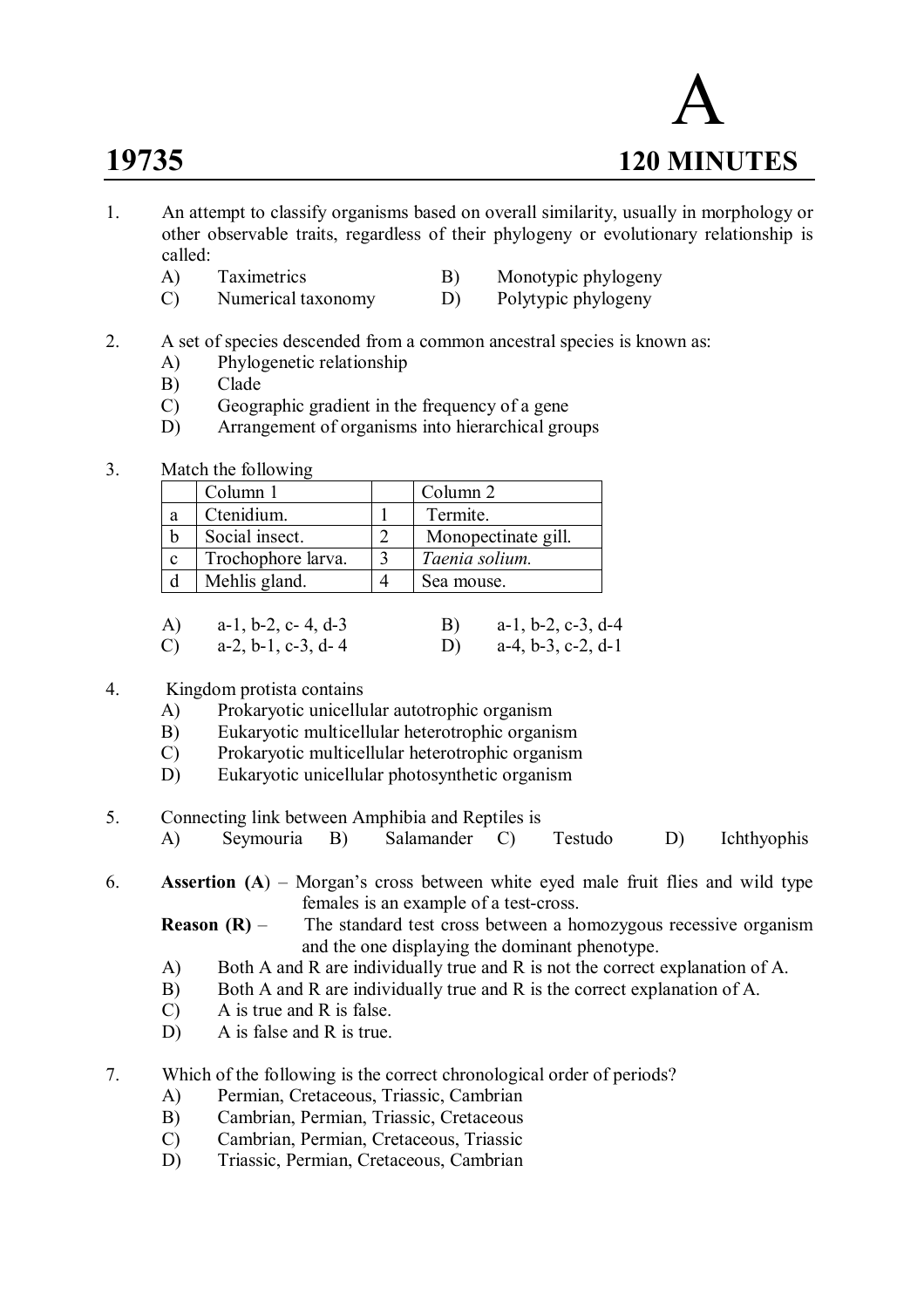

- 1. An attempt to classify organisms based on overall similarity, usually in morphology or other observable traits, regardless of their phylogeny or evolutionary relationship is called:
	- A) Taximetrics B) Monotypic phylogeny<br>
	C) Numerical taxonomy D) Polytypic phylogeny
	- $(C)$  Numerical taxonomy D)

# 2. A set of species descended from a common ancestral species is known as:

- A) Phylogenetic relationship
- B) Clade
- C) Geographic gradient in the frequency of a gene
- D) Arrangement of organisms into hierarchical groups

# 3. Match the following

|             | Column 1           | Column 2            |
|-------------|--------------------|---------------------|
| a           | Ctenidium.         | Termite.            |
| b           | Social insect.     | Monopectinate gill. |
| $\mathbf c$ | Trochophore larva. | Taenia solium.      |
|             | Mehlis gland.      | Sea mouse.          |
|             |                    |                     |

|              | A) $a-1, b-2, c-4, d-3$       | B) $a-1, b-2, c-3, d-4$ |
|--------------|-------------------------------|-------------------------|
| $\mathbf{C}$ | $a-2$ , $b-1$ , $c-3$ , $d-4$ | D) $a-4, b-3, c-2, d-1$ |

# 4. Kingdom protista contains

- A) Prokaryotic unicellular autotrophic organism
- B) Eukaryotic multicellular heterotrophic organism
- C) Prokaryotic multicellular heterotrophic organism
- D) Eukaryotic unicellular photosynthetic organism
- 5. Connecting link between Amphibia and Reptiles is
	- A) Seymouria B) Salamander C) Testudo D) Ichthyophis

# 6. **Assertion (A**) – Morgan's cross between white eyed male fruit flies and wild type females is an example of a test-cross.

**Reason (R)** – The standard test cross between a homozygous recessive organism and the one displaying the dominant phenotype.

- A) Both A and R are individually true and R is not the correct explanation of A.
- B) Both A and R are individually true and R is the correct explanation of A.
- C) A is true and R is false.
- D) A is false and R is true.
- 7. Which of the following is the correct chronological order of periods?
	- A) Permian, Cretaceous, Triassic, Cambrian
	- B) Cambrian, Permian, Triassic, Cretaceous
	- C) Cambrian, Permian, Cretaceous, Triassic
	- D) Triassic, Permian, Cretaceous, Cambrian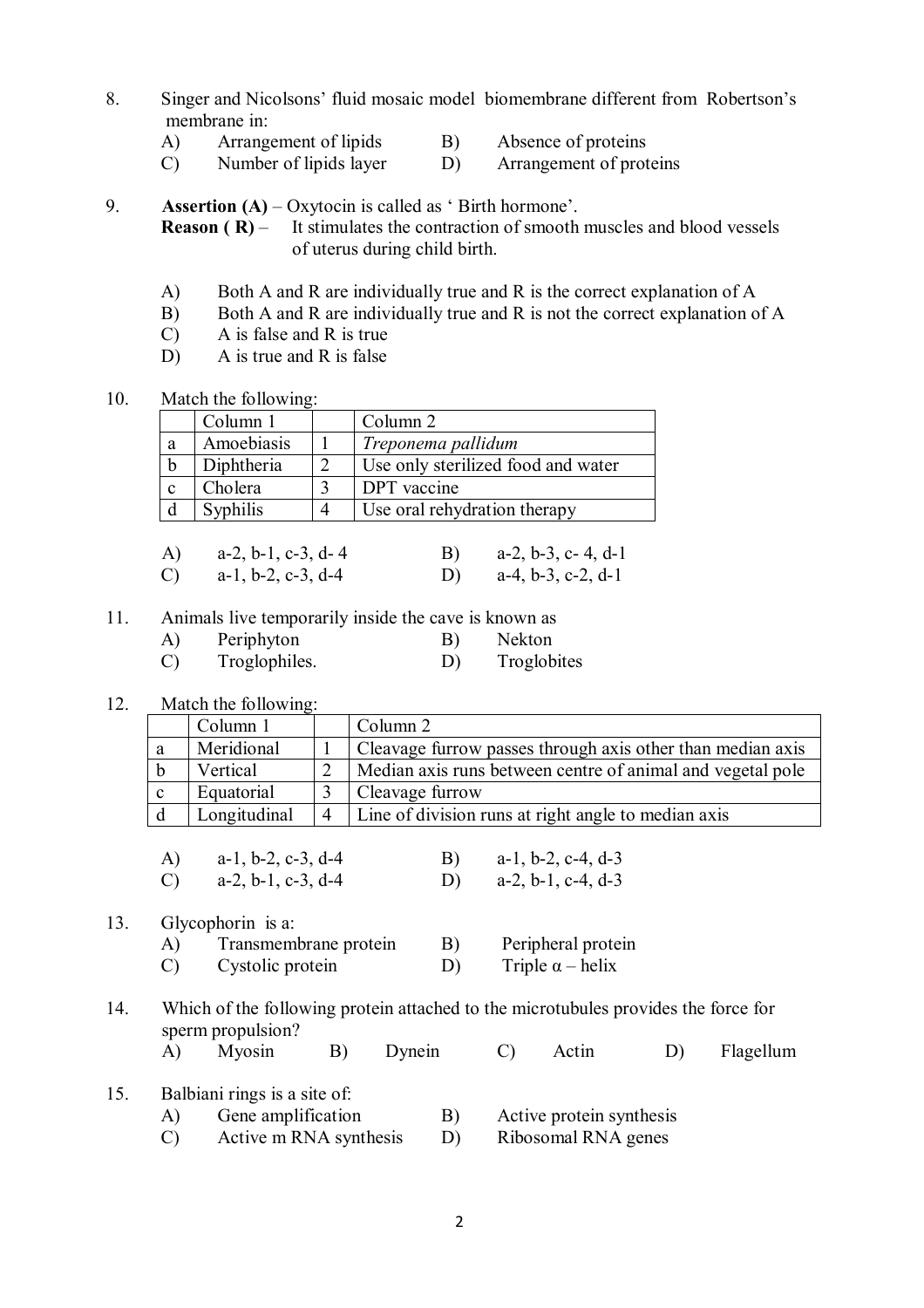- 8. Singer and Nicolsons' fluid mosaic model biomembrane different from Robertson's membrane in:
	- A) Arrangement of lipids B) Absence of proteins
	- C) Number of lipids layer D) Arrangement of proteins

9. **Assertion (A)** – Oxytocin is called as 'Birth hormone'.<br>**Reason (R)** – It stimulates the contraction of smooth It stimulates the contraction of smooth muscles and blood vessels of uterus during child birth.

- A) Both A and R are individually true and R is the correct explanation of A
- B) Both A and R are individually true and R is not the correct explanation of A
- C) A is false and R is true
- D) A is true and R is false
- 10. Match the following:

|   | Column 1   | Column 2                           |
|---|------------|------------------------------------|
| a | Amoebiasis | Treponema pallidum                 |
|   | Diphtheria | Use only sterilized food and water |
|   | Cholera    | DPT vaccine                        |
|   | Syphilis   | Use oral rehydration therapy       |

| A) $a-2, b-1, c-3, d-4$ | B) $a-2, b-3, c-4, d-1$ |
|-------------------------|-------------------------|
| C) $a-1, b-2, c-3, d-4$ | D) $a-4, b-3, c-2, d-1$ |

- 11. Animals live temporarily inside the cave is known as
	- A) Periphyton B) Nekton
	- C) Troglophiles. D) Troglobites
- 12. Match the following:

|              | Column 1     |   | Column 2                                                   |
|--------------|--------------|---|------------------------------------------------------------|
| a            | Meridional   |   | Cleavage furrow passes through axis other than median axis |
|              | Vertical     |   | Median axis runs between centre of animal and vegetal pole |
| <sub>c</sub> | Equatorial   |   | Cleavage furrow                                            |
|              | Longitudinal | 4 | Line of division runs at right angle to median axis        |

| A) $a-1, b-2, c-3, d-4$ | B) $a-1, b-2, c-4, d-3$ |
|-------------------------|-------------------------|
| C) $a-2, b-1, c-3, d-4$ | D) $a-2, b-1, c-4, d-3$ |

# 13. Glycophorin is a:

A) Transmembrane protein B) Peripheral protein C) Cystolic protein D) Triple  $\alpha$  – helix

# 14. Which of the following protein attached to the microtubules provides the force for sperm propulsion?

|  | A) Myosin |  | B) Dynein |  | C) Actin |  | D) Flagellum |
|--|-----------|--|-----------|--|----------|--|--------------|
|--|-----------|--|-----------|--|----------|--|--------------|

#### 15. Balbiani rings is a site of:

| A)     | Gene amplification | Active protein synthesis |
|--------|--------------------|--------------------------|
| $\sim$ |                    |                          |

C) Active m RNA synthesis D) Ribosomal RNA genes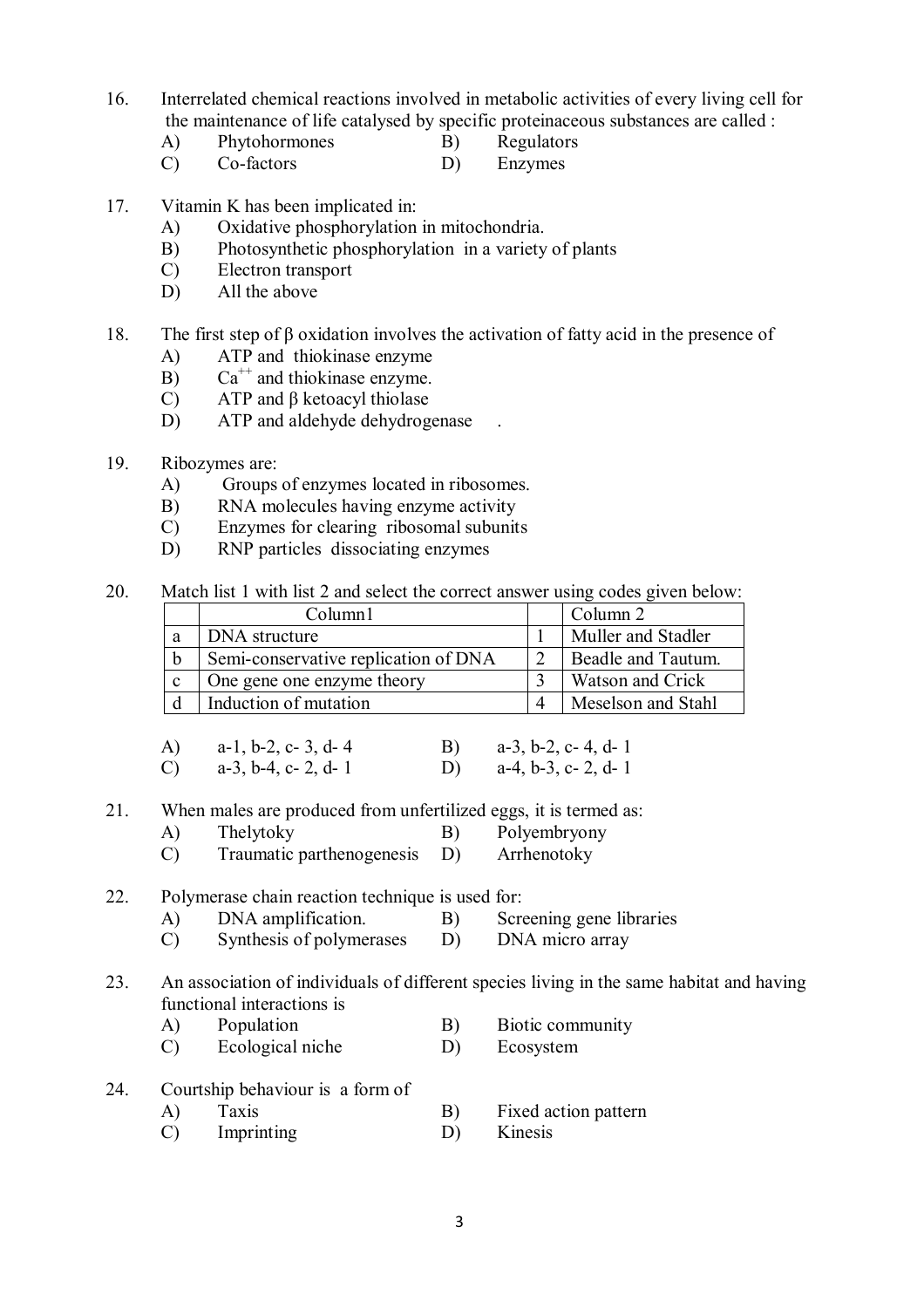- 16. Interrelated chemical reactions involved in metabolic activities of every living cell for the maintenance of life catalysed by specific proteinaceous substances are called :
	- A) Phytohormones B) Regulators
	- C) Co-factors D) Enzymes
- 17. Vitamin K has been implicated in:
	- A) Oxidative phosphorylation in mitochondria.
	- B) Photosynthetic phosphorylation in a variety of plants
	- C) Electron transport
	- D) All the above
- 18. The first step of β oxidation involves the activation of fatty acid in the presence of
	- A) ATP and thiokinase enzyme
	- B)  $Ca^{++}$  and thiokinase enzyme.
	- C) ATP and β ketoacyl thiolase
	- D) ATP and aldehyde dehydrogenase
- 19. Ribozymes are:
	- A) Groups of enzymes located in ribosomes.
	- B) RNA molecules having enzyme activity
	- C) Enzymes for clearing ribosomal subunits
	- D) RNP particles dissociating enzymes
- 20. Match list 1 with list 2 and select the correct answer using codes given below:

|             | Column1                              | Column 2           |
|-------------|--------------------------------------|--------------------|
| a           | DNA structure                        | Muller and Stadler |
| b           | Semi-conservative replication of DNA | Beadle and Tautum. |
| $\mathbf c$ | One gene one enzyme theory           | Watson and Crick   |
|             | Induction of mutation                | Meselson and Stahl |

| A) $a-1, b-2, c-3, d-4$ | B) $a-3$ , b-2, c-4, d-1 |
|-------------------------|--------------------------|
| C) $a-3, b-4, c-2, d-1$ | D) $a-4, b-3, c-2, d-1$  |

- 21. When males are produced from unfertilized eggs, it is termed as:
	- A) Thelytoky B) Polyembryony
	- C) Traumatic parthenogenesis D) Arrhenotoky
- 22. Polymerase chain reaction technique is used for:
	- A) DNA amplification. B) Screening gene libraries
	- C) Synthesis of polymerases D) DNA micro array

### 23. An association of individuals of different species living in the same habitat and having functional interactions is

- A) Population B) Biotic community
- C) Ecological niche D) Ecosystem
- 24. Courtship behaviour is a form of

| A) | Taxis | Fixed action pattern |
|----|-------|----------------------|
|    |       |                      |

C) Imprinting D) Kinesis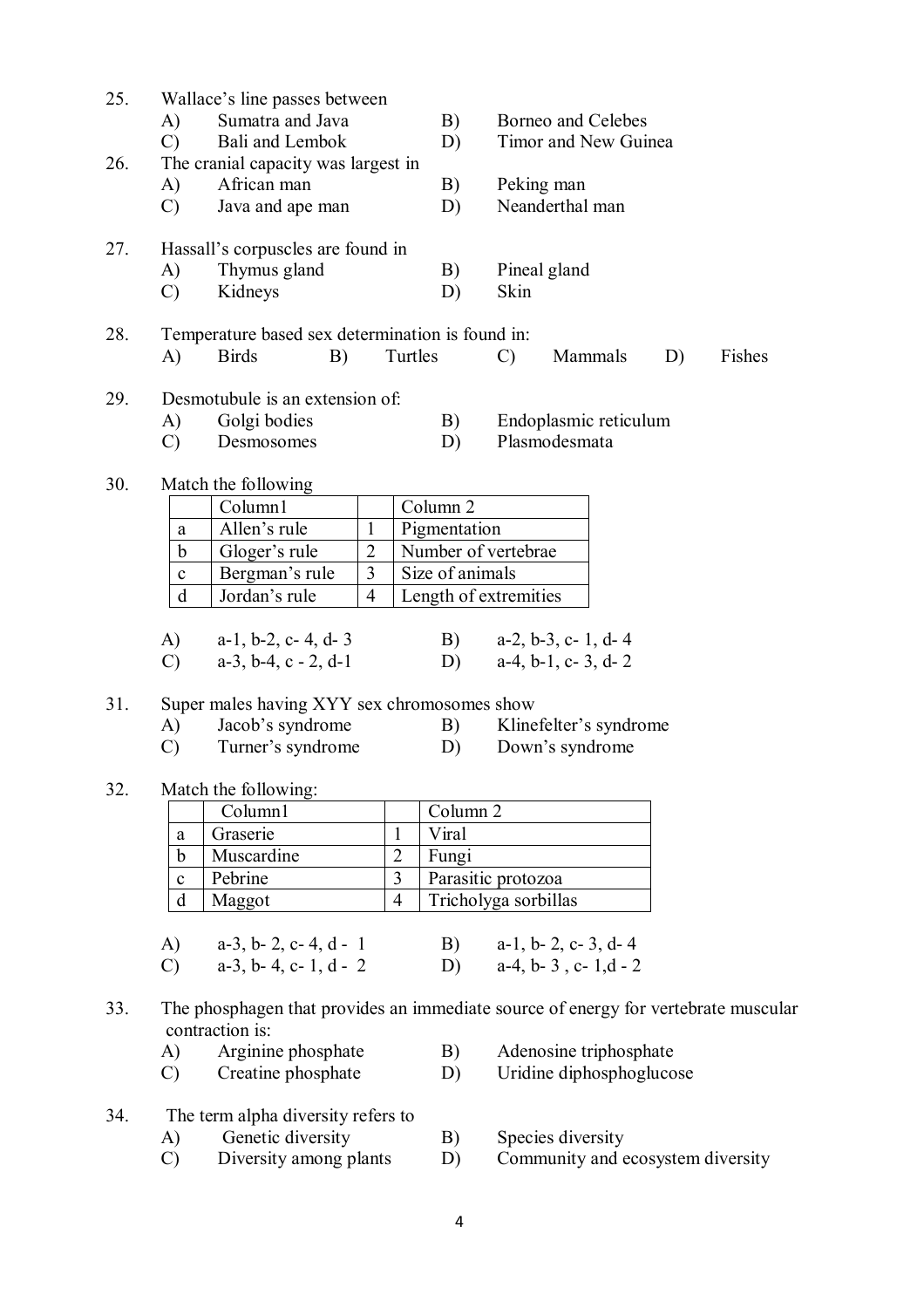| 25. | Wallace's line passes between<br>Sumatra and Java<br>A)<br>$\mathcal{C}$<br>Bali and Lembok |                | B)<br>D)            | Borneo and Celebes<br>Timor and New Guinea                                         |
|-----|---------------------------------------------------------------------------------------------|----------------|---------------------|------------------------------------------------------------------------------------|
| 26. | The cranial capacity was largest in                                                         |                |                     |                                                                                    |
|     | African man<br>A)                                                                           |                | B)                  | Peking man                                                                         |
|     | Java and ape man<br>$\mathcal{C}$                                                           |                | D)                  | Neanderthal man                                                                    |
|     |                                                                                             |                |                     |                                                                                    |
| 27. | Hassall's corpuscles are found in                                                           |                |                     |                                                                                    |
|     | Thymus gland<br>A)                                                                          |                | B)                  | Pineal gland                                                                       |
|     | Kidneys<br>$\mathcal{C}$                                                                    |                | D)                  | Skin                                                                               |
|     |                                                                                             |                |                     |                                                                                    |
| 28. | Temperature based sex determination is found in:                                            |                |                     |                                                                                    |
|     | A)<br><b>Birds</b><br>B)                                                                    | Turtles        |                     | Fishes<br>Mammals<br>D)<br>$\mathcal{C}$                                           |
|     |                                                                                             |                |                     |                                                                                    |
| 29. | Desmotubule is an extension of:                                                             |                |                     |                                                                                    |
|     | Golgi bodies<br>A)                                                                          |                | B)                  | Endoplasmic reticulum                                                              |
|     | $\mathcal{C}$<br>Desmosomes                                                                 |                | D)                  | Plasmodesmata                                                                      |
|     |                                                                                             |                |                     |                                                                                    |
| 30. | Match the following                                                                         |                |                     |                                                                                    |
|     | Column1                                                                                     |                | Column 2            |                                                                                    |
|     | Allen's rule<br>$\mathbf{1}$<br>a                                                           |                | Pigmentation        |                                                                                    |
|     | Gloger's rule<br>$\overline{2}$<br>$\mathbf b$                                              |                |                     | Number of vertebrae                                                                |
|     | 3<br>Bergman's rule<br>$\mathbf{C}$                                                         |                | Size of animals     |                                                                                    |
|     | d<br>Jordan's rule<br>$\overline{4}$                                                        |                |                     | Length of extremities                                                              |
|     |                                                                                             |                |                     |                                                                                    |
|     | A)<br>$a-1$ , $b-2$ , $c-4$ , $d-3$                                                         |                | B)                  | $a-2$ , $b-3$ , $c-1$ , $d-4$                                                      |
|     | $\mathcal{C}$<br>$a-3$ , $b-4$ , $c-2$ , $d-1$                                              |                | D)                  | $a-4$ , $b-1$ , $c-3$ , $d-2$                                                      |
|     |                                                                                             |                |                     |                                                                                    |
| 31. | Super males having XYY sex chromosomes show                                                 |                |                     |                                                                                    |
|     | Jacob's syndrome<br>A)                                                                      |                | B)                  | Klinefelter's syndrome                                                             |
|     | Turner's syndrome<br>$\mathcal{C}$                                                          |                | D)                  | Down's syndrome                                                                    |
| 32. | Match the following:                                                                        |                |                     |                                                                                    |
|     | Column1                                                                                     |                | Column <sub>2</sub> |                                                                                    |
|     | Graserie<br>$\rm{a}$                                                                        | $\mathbf{1}$   | Viral               |                                                                                    |
|     | Muscardine<br>b                                                                             | $\overline{2}$ | Fungi               |                                                                                    |
|     | Pebrine<br>$\mathbf{C}$                                                                     | 3              |                     | Parasitic protozoa                                                                 |
|     | d<br>Maggot                                                                                 | $\overline{4}$ |                     | Tricholyga sorbillas                                                               |
|     |                                                                                             |                |                     |                                                                                    |
|     | A)<br>$a-3$ , $b-2$ , $c-4$ , $d-1$                                                         |                | B)                  | $a-1$ , $b-2$ , $c-3$ , $d-4$                                                      |
|     | $a-3$ , $b-4$ , $c-1$ , $d-2$<br>$\mathcal{C}$                                              |                |                     | D) $a-4, b-3, c-1, d-2$                                                            |
|     |                                                                                             |                |                     |                                                                                    |
| 33. |                                                                                             |                |                     | The phosphagen that provides an immediate source of energy for vertebrate muscular |
|     | contraction is:                                                                             |                |                     |                                                                                    |
|     | Arginine phosphate<br>A)                                                                    |                | B)                  | Adenosine triphosphate                                                             |
|     | Creatine phosphate<br>$\mathcal{C}$                                                         |                | D)                  | Uridine diphosphoglucose                                                           |
|     |                                                                                             |                |                     |                                                                                    |
| 34. | The term alpha diversity refers to                                                          |                |                     |                                                                                    |
|     | Genetic diversity<br>A)                                                                     |                | B)                  | Species diversity                                                                  |
|     | Diversity among plants<br>$\mathcal{C}$                                                     |                | D)                  | Community and ecosystem diversity                                                  |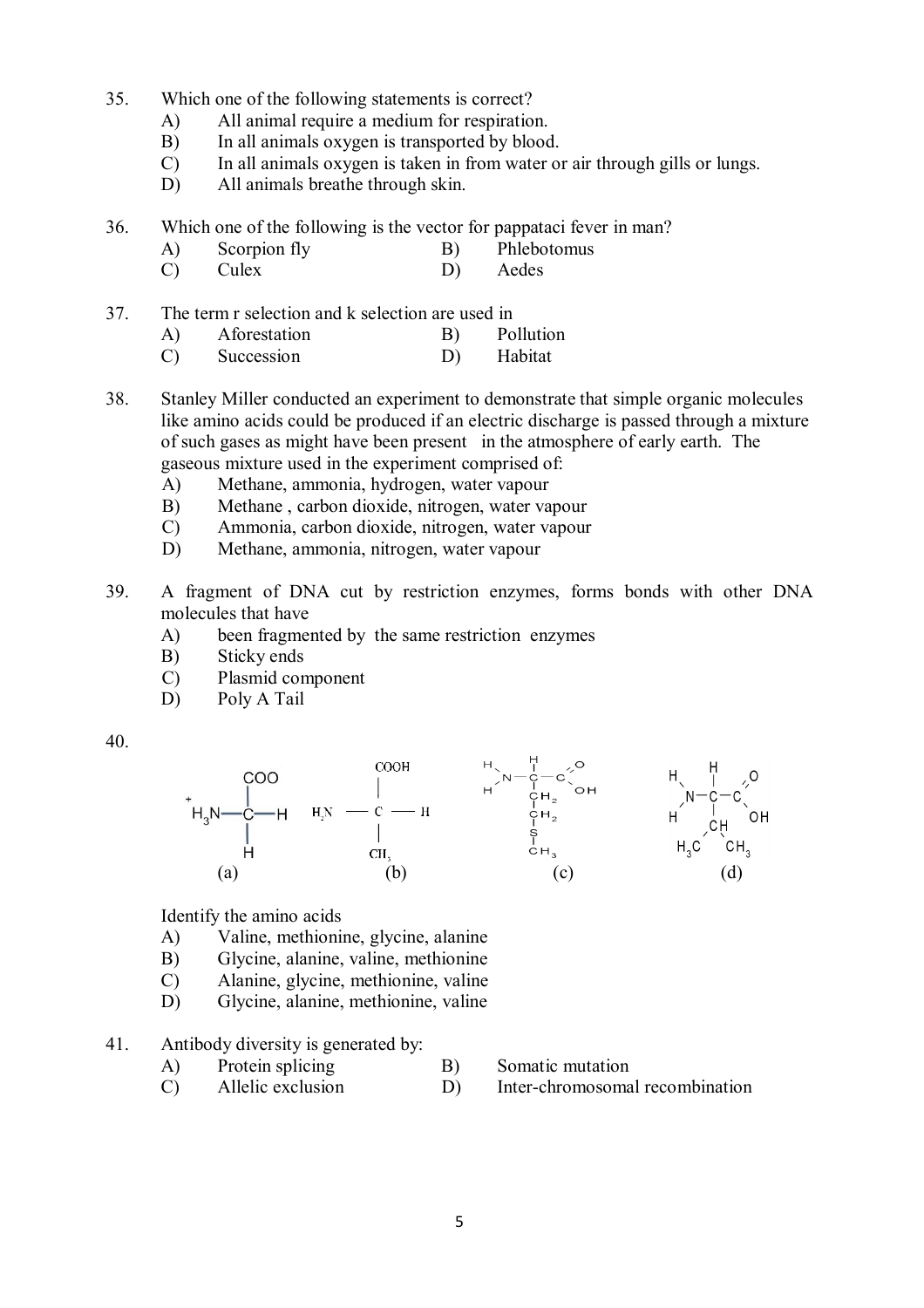- 35. Which one of the following statements is correct?
	- A) All animal require a medium for respiration.
	- B) In all animals oxygen is transported by blood.
	- C) In all animals oxygen is taken in from water or air through gills or lungs.
	- D) All animals breathe through skin.
- 36. Which one of the following is the vector for pappataci fever in man?
	- A) Scorpion fly B) Phlebotomus
	- C) Culex D) Aedes
- 37. The term r selection and k selection are used in
	- A) Aforestation B) Pollution
	- C) Succession D) Habitat
- 38. Stanley Miller conducted an experiment to demonstrate that simple organic molecules like amino acids could be produced if an electric discharge is passed through a mixture of such gases as might have been present in the atmosphere of early earth. The gaseous mixture used in the experiment comprised of:
	- A) Methane, ammonia, hydrogen, water vapour
	- B) Methane , carbon dioxide, nitrogen, water vapour
	- C) Ammonia, carbon dioxide, nitrogen, water vapour
	- D) Methane, ammonia, nitrogen, water vapour
- 39. A fragment of DNA cut by restriction enzymes, forms bonds with other DNA molecules that have
	- A) been fragmented by the same restriction enzymes
	- B) Sticky ends
	- C) Plasmid component
	- D) Poly A Tail
- 40.



Identify the amino acids

- A) Valine, methionine, glycine, alanine
- B) Glycine, alanine, valine, methionine
- C) Alanine, glycine, methionine, valine
- D) Glycine, alanine, methionine, valine
- 41. Antibody diversity is generated by:
	- A) Protein splicing B) Somatic mutation
- - C) Allelic exclusion D) Inter-chromosomal recombination
-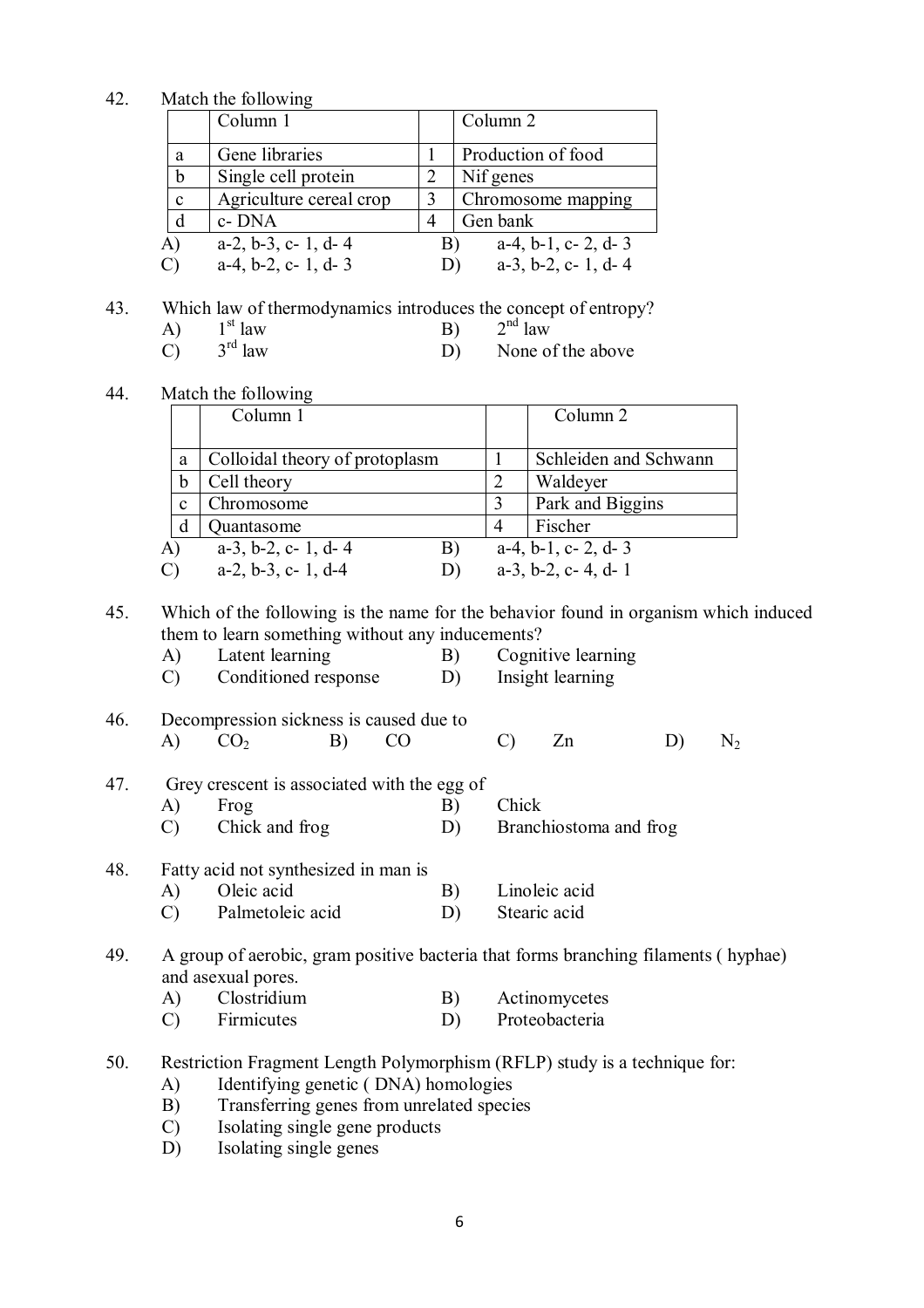42. Match the following

|               | Column 1                      |    | Column 2                      |
|---------------|-------------------------------|----|-------------------------------|
| a             | Gene libraries                |    | Production of food            |
| b             | Single cell protein           |    | Nif genes                     |
| $\mathbf c$   | Agriculture cereal crop       |    | Chromosome mapping            |
| d             | c-DNA                         |    | Gen bank                      |
| A)            | $a-2$ , $b-3$ , $c-1$ , $d-4$ | B) | $a-4$ , $b-1$ , $c-2$ , $d-3$ |
| $\mathcal{C}$ | $a-4$ , $b-2$ , $c-1$ , $d-3$ | D) | $a-3$ , $b-2$ , $c-1$ , $d-4$ |

- 43. Which law of thermodynamics introduces the concept of entropy?
	- A)  $1^{\text{st}}$  law<br>C)  $3^{\text{rd}}$  law  $3^{\text{rd}}$  law B)<br> $3^{\text{rd}}$  law D)  $2<sup>nd</sup>$  law
	- $\overline{C}$ None of the above
- 44. Match the following

|                         | Column 1                            | Column 2                      |
|-------------------------|-------------------------------------|-------------------------------|
|                         |                                     |                               |
| a                       | Colloidal theory of protoplasm      | Schleiden and Schwann         |
| b                       | Cell theory                         | Waldeyer                      |
| c                       | Chromosome                          | Park and Biggins              |
|                         | Quantasome                          | Fischer                       |
| A)                      | $a-3$ , $b-2$ , $c-1$ , $d-4$<br>B) | $a-4$ , $b-1$ , $c-2$ , $d-3$ |
| $\overline{\mathrm{C}}$ | $a-2$ , $b-3$ , $c-1$ , $d-4$       | $a-3$ , $b-2$ , $c-4$ , $d-1$ |

45. Which of the following is the name for the behavior found in organism which induced them to learn something without any inducements?

| A) | Latent learning      | B) | Cognitive learning |
|----|----------------------|----|--------------------|
|    | Conditioned response | D) | Insight learning   |

46. Decompression sickness is caused due to A)  $CO_2$  B)  $CO$  C) Zn D)  $N_2$ 

|  |         | 47. Grey crescent is associated with the egg of |          |  |
|--|---------|-------------------------------------------------|----------|--|
|  | A) Frog |                                                 | B) Chick |  |

C) Chick and frog D) Branchiostoma and frog

# 48. Fatty acid not synthesized in man is

A) Oleic acid B) Linoleic acid C) Palmetoleic acid D) Stearic acid

# 49. A group of aerobic, gram positive bacteria that forms branching filaments ( hyphae) and asexual pores.<br>A) Clostridium

- A) Clostridium B) Actinomycetes<br>
C) Firmicutes D) Proteobacteria
- C) Firmicutes D) Proteobacteria
- 50. Restriction Fragment Length Polymorphism (RFLP) study is a technique for:
	- A) Identifying genetic ( DNA) homologies
	- B) Transferring genes from unrelated species
	- C) Isolating single gene products
	- D) Isolating single genes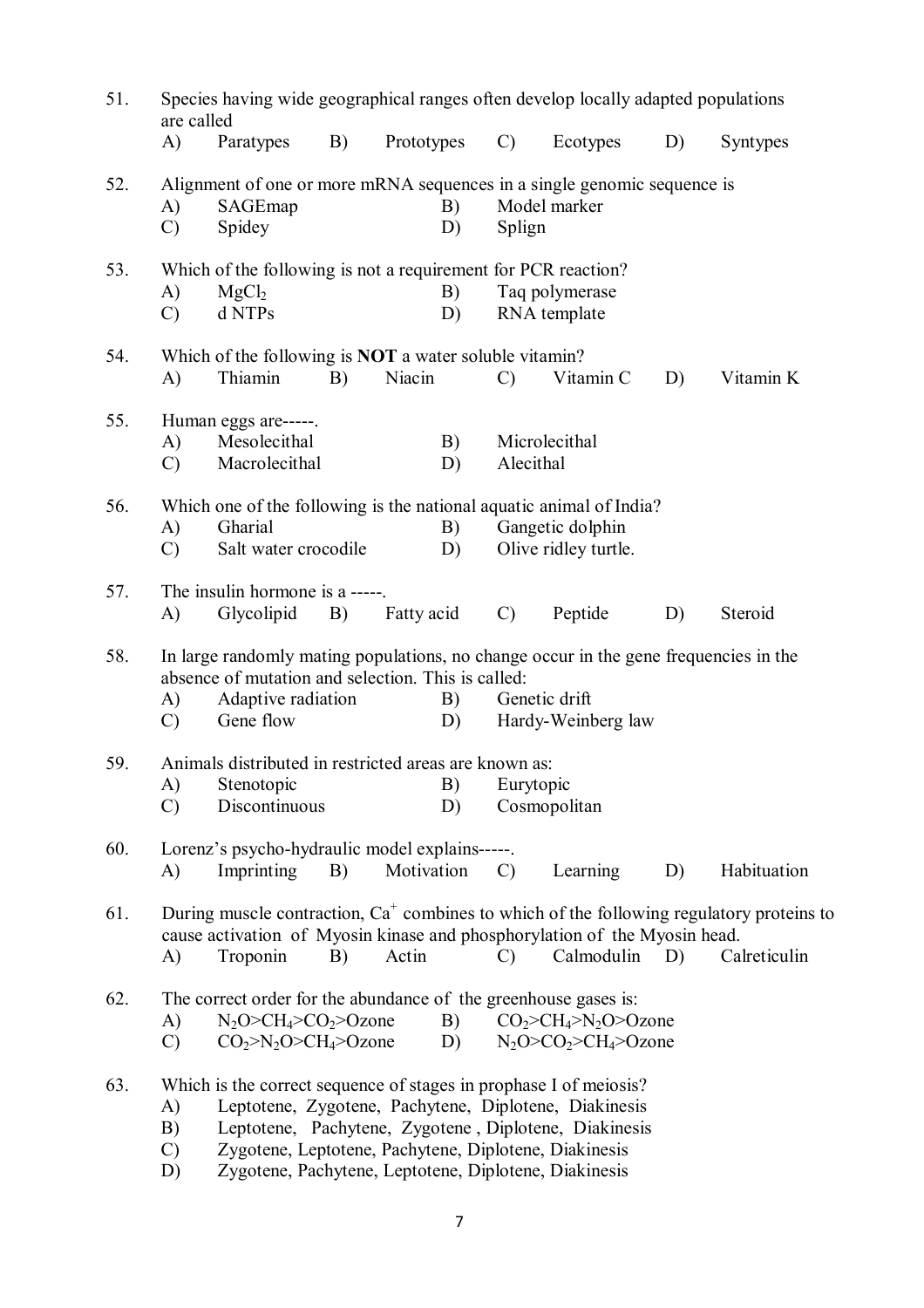| 51. | Species having wide geographical ranges often develop locally adapted populations<br>are called |                                                                                                                                                                                     |    |            |                  |               |                                                                                                                             |    |                                                                                                             |
|-----|-------------------------------------------------------------------------------------------------|-------------------------------------------------------------------------------------------------------------------------------------------------------------------------------------|----|------------|------------------|---------------|-----------------------------------------------------------------------------------------------------------------------------|----|-------------------------------------------------------------------------------------------------------------|
|     | A)                                                                                              | Paratypes                                                                                                                                                                           | B) | Prototypes |                  | $\mathcal{C}$ | Ecotypes                                                                                                                    | D) | Syntypes                                                                                                    |
| 52. | A)<br>$\mathcal{C}$                                                                             | SAGEmap<br>Spidey                                                                                                                                                                   |    |            | B)<br>D)         | Splign        | Alignment of one or more mRNA sequences in a single genomic sequence is<br>Model marker                                     |    |                                                                                                             |
| 53. | A)<br>$\mathcal{C}$                                                                             | Which of the following is not a requirement for PCR reaction?<br>MgCl <sub>2</sub><br>d NTPs                                                                                        |    |            | B)<br>D)         |               | Taq polymerase<br>RNA template                                                                                              |    |                                                                                                             |
| 54. | A)                                                                                              | Which of the following is <b>NOT</b> a water soluble vitamin?<br>Thiamin                                                                                                            | B) | Niacin     |                  | $\mathcal{C}$ | Vitamin C                                                                                                                   | D) | Vitamin K                                                                                                   |
| 55. | A)<br>$\mathcal{C}$                                                                             | Human eggs are-----.<br>Mesolecithal<br>Macrolecithal                                                                                                                               |    |            | B)<br>D)         | Alecithal     | Microlecithal                                                                                                               |    |                                                                                                             |
| 56. | A)<br>$\mathcal{C}$                                                                             | Gharial<br>Salt water crocodile                                                                                                                                                     |    |            | B)<br>D)         |               | Which one of the following is the national aquatic animal of India?<br>Gangetic dolphin<br>Olive ridley turtle.             |    |                                                                                                             |
| 57. | A)                                                                                              | The insulin hormone is a -----.<br>Glycolipid                                                                                                                                       | B) | Fatty acid |                  | $\mathcal{C}$ | Peptide                                                                                                                     | D) | Steroid                                                                                                     |
| 58. | A)<br>$\mathcal{C}$                                                                             | absence of mutation and selection. This is called:<br>Adaptive radiation<br>Gene flow                                                                                               |    |            | B)<br>D)         |               | In large randomly mating populations, no change occur in the gene frequencies in the<br>Genetic drift<br>Hardy-Weinberg law |    |                                                                                                             |
| 59. | $\mathcal{C}$                                                                                   | Animals distributed in restricted areas are known as:<br>A) Stenotopic<br>Discontinuous                                                                                             |    |            | <b>B</b> )<br>D) | Eurytopic     | Cosmopolitan                                                                                                                |    |                                                                                                             |
| 60. | A)                                                                                              | Lorenz's psycho-hydraulic model explains-----.<br>Imprinting                                                                                                                        | B) | Motivation |                  | $\mathcal{C}$ | Learning                                                                                                                    | D) | Habituation                                                                                                 |
| 61. | A)                                                                                              | Troponin                                                                                                                                                                            | B) | Actin      |                  | $\mathcal{C}$ | cause activation of Myosin kinase and phosphorylation of the Myosin head.<br>Calmodulin                                     | D) | During muscle contraction, $Ca^+$ combines to which of the following regulatory proteins to<br>Calreticulin |
| 62. | A)<br>$\mathcal{C}$                                                                             | The correct order for the abundance of the greenhouse gases is:<br>$N_2O > CH_4 > CO_2 > O$ zone<br>$CO2>N2O > CH4>Ozone$                                                           |    |            | B)<br>D)         |               | $CO2>CH4>N2O>Ozone$<br>$N_2O > CO_2 > CH_4 > Ozone$                                                                         |    |                                                                                                             |
| 63. | A)<br>B)<br>$\mathcal{C}$<br>D)                                                                 | Which is the correct sequence of stages in prophase I of meiosis?<br>Zygotene, Leptotene, Pachytene, Diplotene, Diakinesis<br>Zygotene, Pachytene, Leptotene, Diplotene, Diakinesis |    |            |                  |               | Leptotene, Zygotene, Pachytene, Diplotene, Diakinesis<br>Leptotene, Pachytene, Zygotene, Diplotene, Diakinesis              |    |                                                                                                             |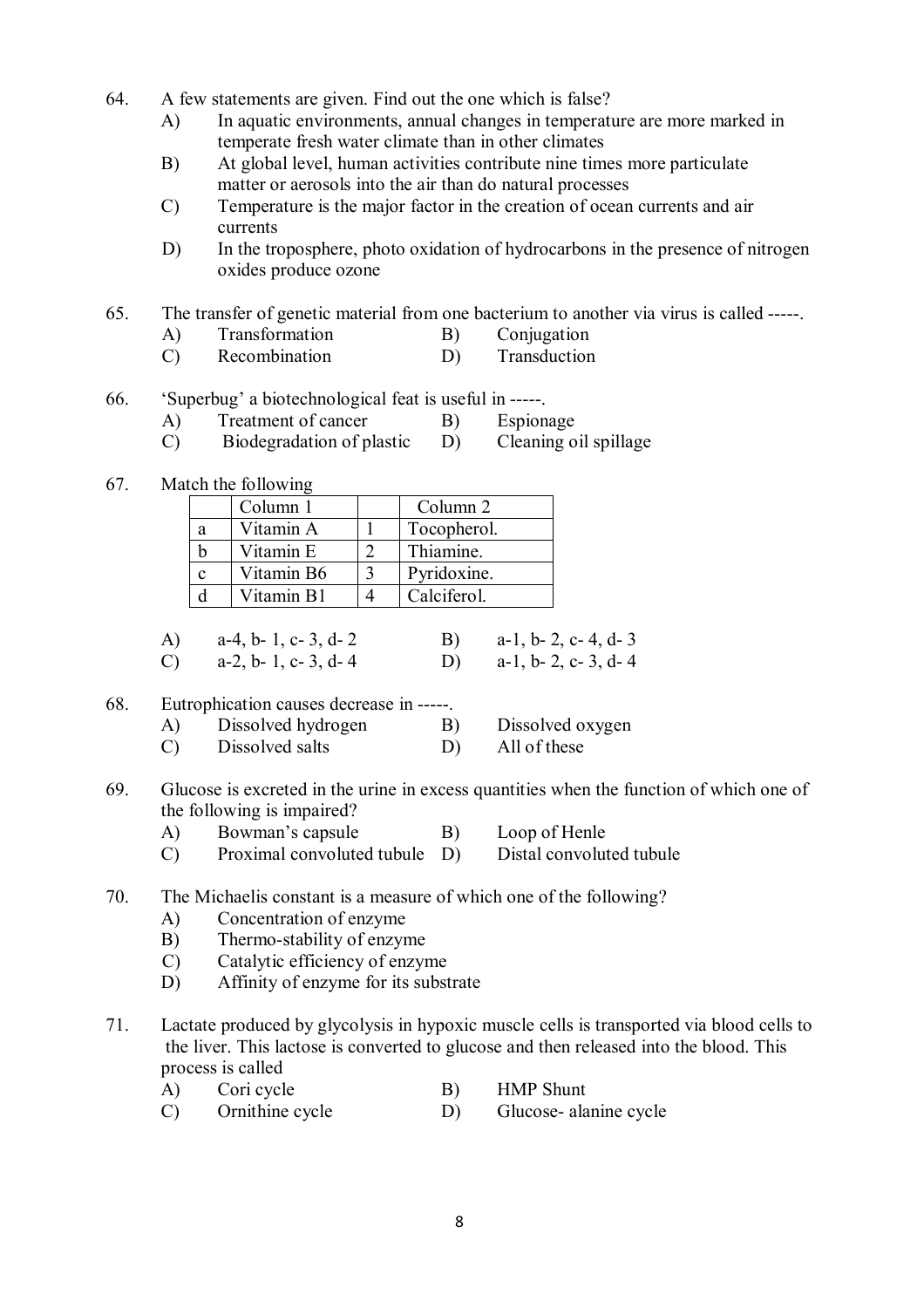- 64. A few statements are given. Find out the one which is false?
	- A) In aquatic environments, annual changes in temperature are more marked in temperate fresh water climate than in other climates
	- B) At global level, human activities contribute nine times more particulate matter or aerosols into the air than do natural processes
	- C) Temperature is the major factor in the creation of ocean currents and air currents
	- D) In the troposphere, photo oxidation of hydrocarbons in the presence of nitrogen oxides produce ozone
- 65. The transfer of genetic material from one bacterium to another via virus is called -----.
	- A) Transformation B) Conjugation
	- C) Recombination D) Transduction
- 66. 'Superbug' a biotechnological feat is useful in -----.
	- A) Treatment of cancer B) Espionage
	- C) Biodegradation of plastic D) Cleaning oil spillage
- 67. Match the following

|   | Column 1   | Column 2    |
|---|------------|-------------|
| a | Vitamin A  | Tocopherol. |
|   | Vitamin E  | Thiamine.   |
|   | Vitamin B6 | Pyridoxine. |
|   | Vitamin B1 | Calciferol. |

| A) $a-4, b-1, c-3, d-2$ | B) $a-1, b-2, c-4, d-3$ |
|-------------------------|-------------------------|
| C) $a-2, b-1, c-3, d-4$ | D) $a-1, b-2, c-3, d-4$ |

- 68. Eutrophication causes decrease in -----.
	- A) Dissolved hydrogen B) Dissolved oxygen
	- C) Dissolved salts D) All of these
- 69. Glucose is excreted in the urine in excess quantities when the function of which one of the following is impaired?
	- A) Bowman's capsule B) Loop of Henle
	- C) Proximal convoluted tubule D) Distal convoluted tubule

# 70. The Michaelis constant is a measure of which one of the following?

- A) Concentration of enzyme
- B) Thermo-stability of enzyme
- C) Catalytic efficiency of enzyme
- D) Affinity of enzyme for its substrate
- 71. Lactate produced by glycolysis in hypoxic muscle cells is transported via blood cells to the liver. This lactose is converted to glucose and then released into the blood. This process is called
	- A) Cori cycle B) HMP Shunt
	- C) Ornithine cycle D) Glucose- alanine cycle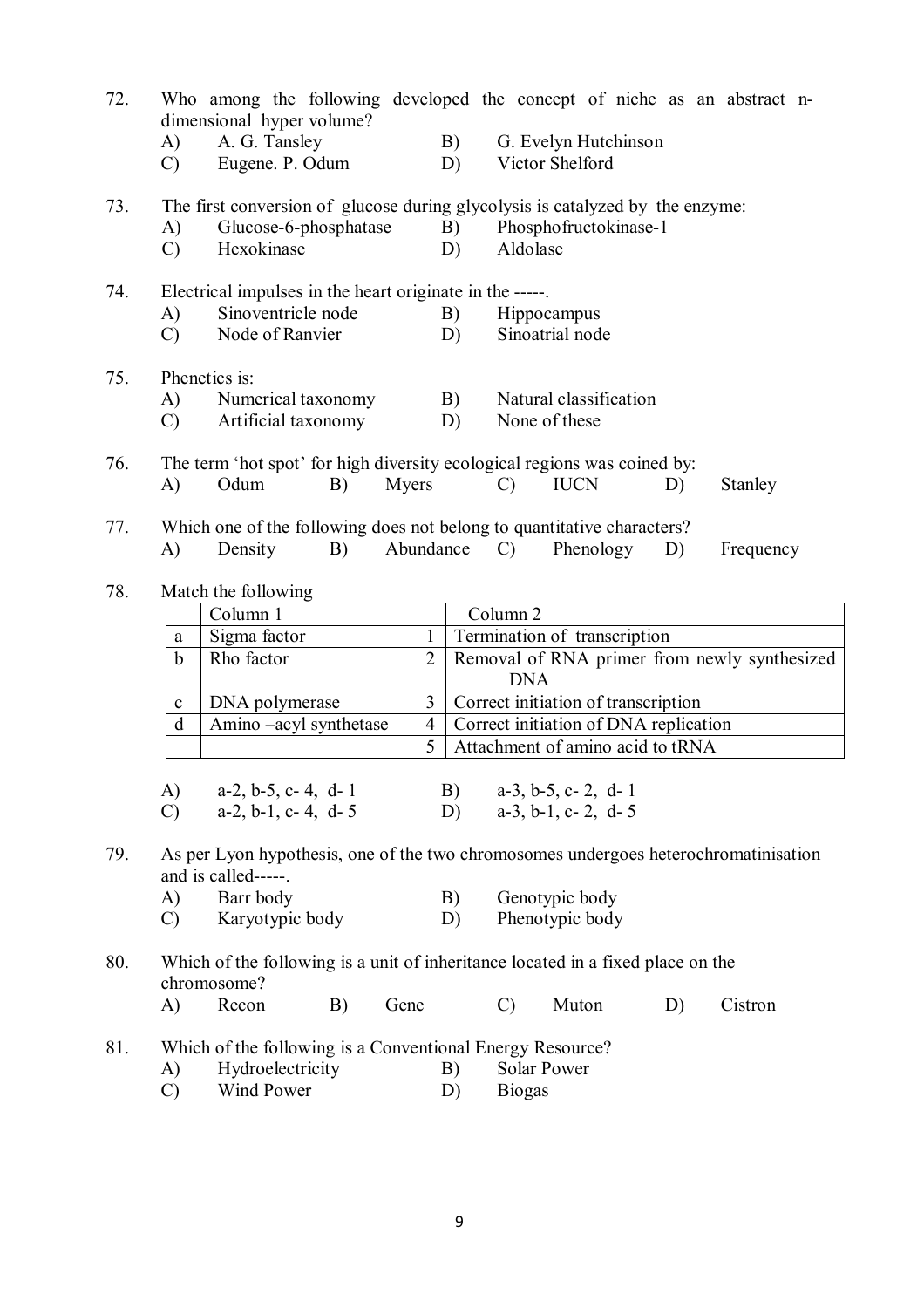| 72. | A)                  | Who among the following developed the concept of niche as an abstract n-<br>dimensional hyper volume?<br>A. G. Tansley |                | B)        |                                                                                                                                | G. Evelyn Hutchinson             |    |           |  |
|-----|---------------------|------------------------------------------------------------------------------------------------------------------------|----------------|-----------|--------------------------------------------------------------------------------------------------------------------------------|----------------------------------|----|-----------|--|
|     | $\mathcal{C}$       | Eugene. P. Odum                                                                                                        |                | D)        |                                                                                                                                | Victor Shelford                  |    |           |  |
| 73. | A)<br>$\mathcal{C}$ | Glucose-6-phosphatase<br>Hexokinase                                                                                    |                |           | The first conversion of glucose during glycolysis is catalyzed by the enzyme:<br>Phosphofructokinase-1<br>B)<br>Aldolase<br>D) |                                  |    |           |  |
| 74. | A)<br>$\mathcal{C}$ | Electrical impulses in the heart originate in the -----.<br>Sinoventricle node<br>Node of Ranvier                      |                | B)<br>D)  | <b>Hippocampus</b><br>Sinoatrial node                                                                                          |                                  |    |           |  |
| 75. | A)<br>$\mathcal{C}$ | Phenetics is:<br>Numerical taxonomy<br>Artificial taxonomy                                                             |                |           | Natural classification<br>B)<br>D)<br>None of these                                                                            |                                  |    |           |  |
| 76. | A)                  | The term 'hot spot' for high diversity ecological regions was coined by:<br>Odum<br>B)                                 | Myers          |           | $\mathcal{C}$                                                                                                                  | <b>IUCN</b>                      | D) | Stanley   |  |
| 77. | A)                  | Which one of the following does not belong to quantitative characters?<br>Density<br>B)                                |                | Abundance | $\mathcal{C}$ )                                                                                                                | Phenology                        | D) | Frequency |  |
| 78. |                     | Match the following                                                                                                    |                |           |                                                                                                                                |                                  |    |           |  |
|     |                     | Column 1                                                                                                               |                |           | Column <sub>2</sub>                                                                                                            |                                  |    |           |  |
|     | a                   | Sigma factor                                                                                                           | $\mathbf{1}$   |           | Termination of transcription                                                                                                   |                                  |    |           |  |
|     | $\mathbf b$         | Rho factor                                                                                                             | 2              |           | Removal of RNA primer from newly synthesized<br><b>DNA</b>                                                                     |                                  |    |           |  |
|     | $\mathbf{C}$        | DNA polymerase                                                                                                         | 3              |           | Correct initiation of transcription                                                                                            |                                  |    |           |  |
|     | d                   | Amino -acyl synthetase                                                                                                 | $\overline{4}$ |           | Correct initiation of DNA replication                                                                                          |                                  |    |           |  |
|     |                     |                                                                                                                        | 5              |           |                                                                                                                                | Attachment of amino acid to tRNA |    |           |  |
|     | $\bf{A}$ )          | $a-2$ , $b-5$ , $c-4$ , $d-1$                                                                                          |                | B)        |                                                                                                                                | $a-3$ , $b-5$ , $c-2$ , $d-1$    |    |           |  |
|     | $\mathcal{C}$       | $a-2$ , $b-1$ , $c-4$ , $d-5$                                                                                          |                | D)        |                                                                                                                                | $a-3$ , $b-1$ , $c-2$ , $d-5$    |    |           |  |
| 79. |                     | As per Lyon hypothesis, one of the two chromosomes undergoes heterochromatinisation<br>and is called-----.             |                |           |                                                                                                                                |                                  |    |           |  |
|     | A)                  | Barr body                                                                                                              |                | B)        |                                                                                                                                | Genotypic body                   |    |           |  |
|     | $\mathcal{C}$       | Karyotypic body                                                                                                        |                | D)        |                                                                                                                                | Phenotypic body                  |    |           |  |
| 80. |                     | Which of the following is a unit of inheritance located in a fixed place on the<br>chromosome?                         |                |           |                                                                                                                                |                                  |    |           |  |
|     | A)                  | Recon<br>B)<br>Gene                                                                                                    |                |           | $\mathcal{C}$                                                                                                                  | Muton                            | D) | Cistron   |  |
| 81. |                     | Which of the following is a Conventional Energy Resource?                                                              |                |           |                                                                                                                                |                                  |    |           |  |
|     | A)                  | Hydroelectricity                                                                                                       |                | B)        | Solar Power                                                                                                                    |                                  |    |           |  |
|     | $\mathcal{C}$       | Wind Power                                                                                                             |                | D)        | <b>Biogas</b>                                                                                                                  |                                  |    |           |  |
|     |                     |                                                                                                                        |                |           |                                                                                                                                |                                  |    |           |  |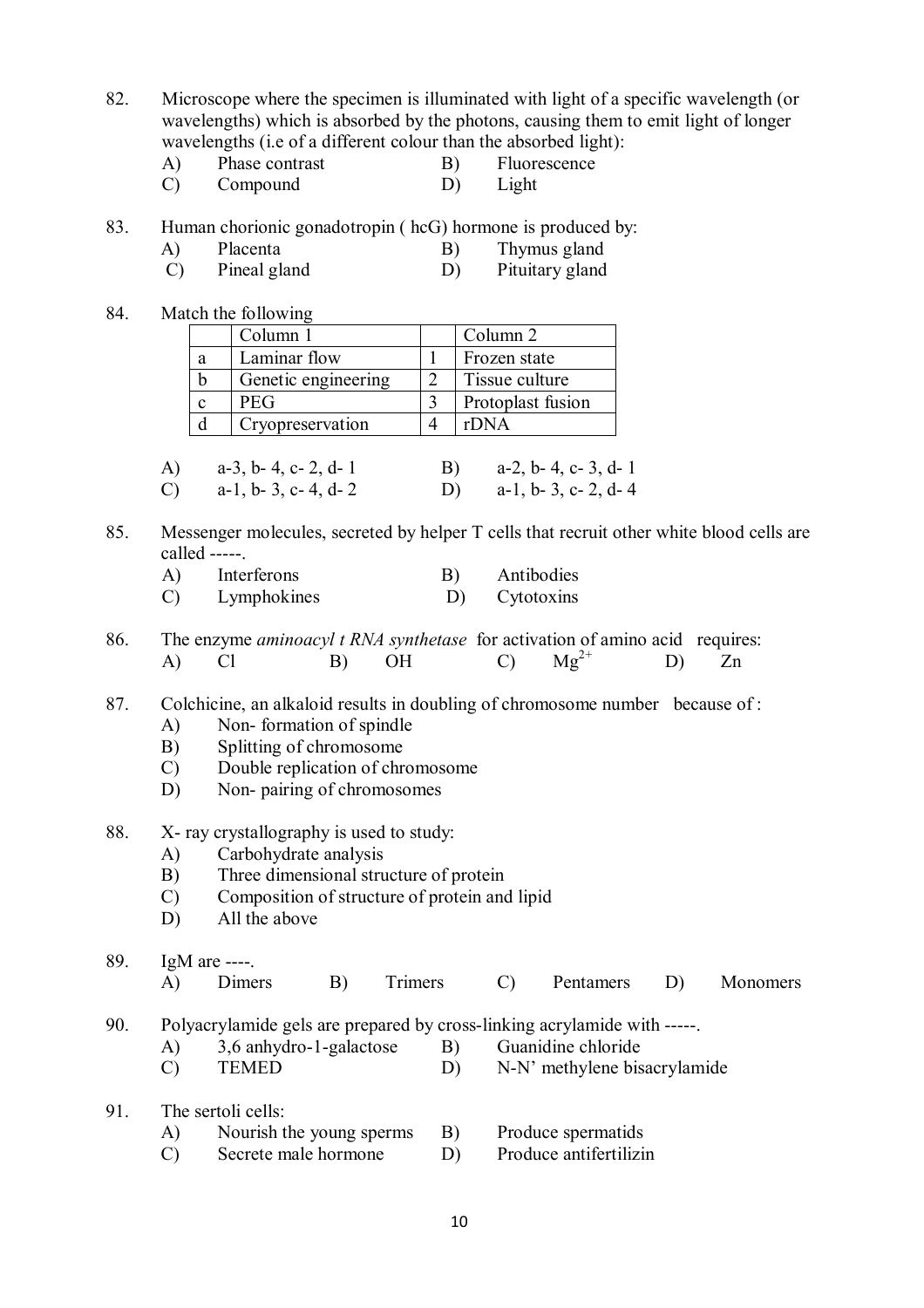82. Microscope where the specimen is illuminated with light of a specific wavelength (or wavelengths) which is absorbed by the photons, causing them to emit light of longer wavelengths (i.e of a different colour than the absorbed light):

- A) Phase contrast B) Fluorescence
- C) Compound D) Light
- 83. Human chorionic gonadotropin ( hcG) hormone is produced by:
	- A) Placenta B) Thymus gland<br>
	C) Pineal gland<br>
	D) Pituitary gland
	- C) Pineal gland D) Pituitary gland
- 84. Match the following

|   | Column 1            | Column 2          |
|---|---------------------|-------------------|
| a | Laminar flow        | Frozen state      |
| h | Genetic engineering | Tissue culture    |
|   | <b>PEG</b>          | Protoplast fusion |
|   | Cryopreservation    | rDNA              |

|    | A) $a-3$ , b-4, c-2, d-1 | B) $a-2, b-4, c-3, d-1$ |
|----|--------------------------|-------------------------|
| C) | $a-1$ , b- 3, c- 4, d- 2 | D) $a-1, b-3, c-2, d-4$ |

85. Messenger molecules, secreted by helper T cells that recruit other white blood cells are called -----.

| A)        | Interferons   | Antibodies         |
|-----------|---------------|--------------------|
| $\bigcap$ | I smpholzinga | $C_{\rm{stacked}}$ |

- C) Lymphokines D) Cytotoxins
- 86. The enzyme *aminoacyl t RNA synthetase* for activation of amino acid requires: A) Cl B) OH C)  $Mg^{2+}$  $Mg^{2+}$  D) Zn

87. Colchicine, an alkaloid results in doubling of chromosome number because of :

- A) Non- formation of spindle
- B) Splitting of chromosome
- C) Double replication of chromosome
- D) Non- pairing of chromosomes
- 88. X- ray crystallography is used to study:
	- A) Carbohydrate analysis
	- B) Three dimensional structure of protein
	- C) Composition of structure of protein and lipid
	- D) All the above
- 89. IgM are ----.

| A) | Dimers | B) Trimers | C) Pentamers D) Monomers |  |
|----|--------|------------|--------------------------|--|
|    |        |            |                          |  |

90. Polyacrylamide gels are prepared by cross-linking acrylamide with -----.<br>A)  $3.6$  anhydro-1-galactose  $\overrightarrow{B}$  Guanidine chloride

- A)  $3.6$  anhydro-1-galactose B)
- C) TEMED D) N-N' methylene bisacrylamide
- 91. The sertoli cells:

| $\mathbf{A}$ | Nourish the young sperms |  | Produce spermatids |
|--------------|--------------------------|--|--------------------|
|--------------|--------------------------|--|--------------------|

C) Secrete male hormone D) Produce antifertilizin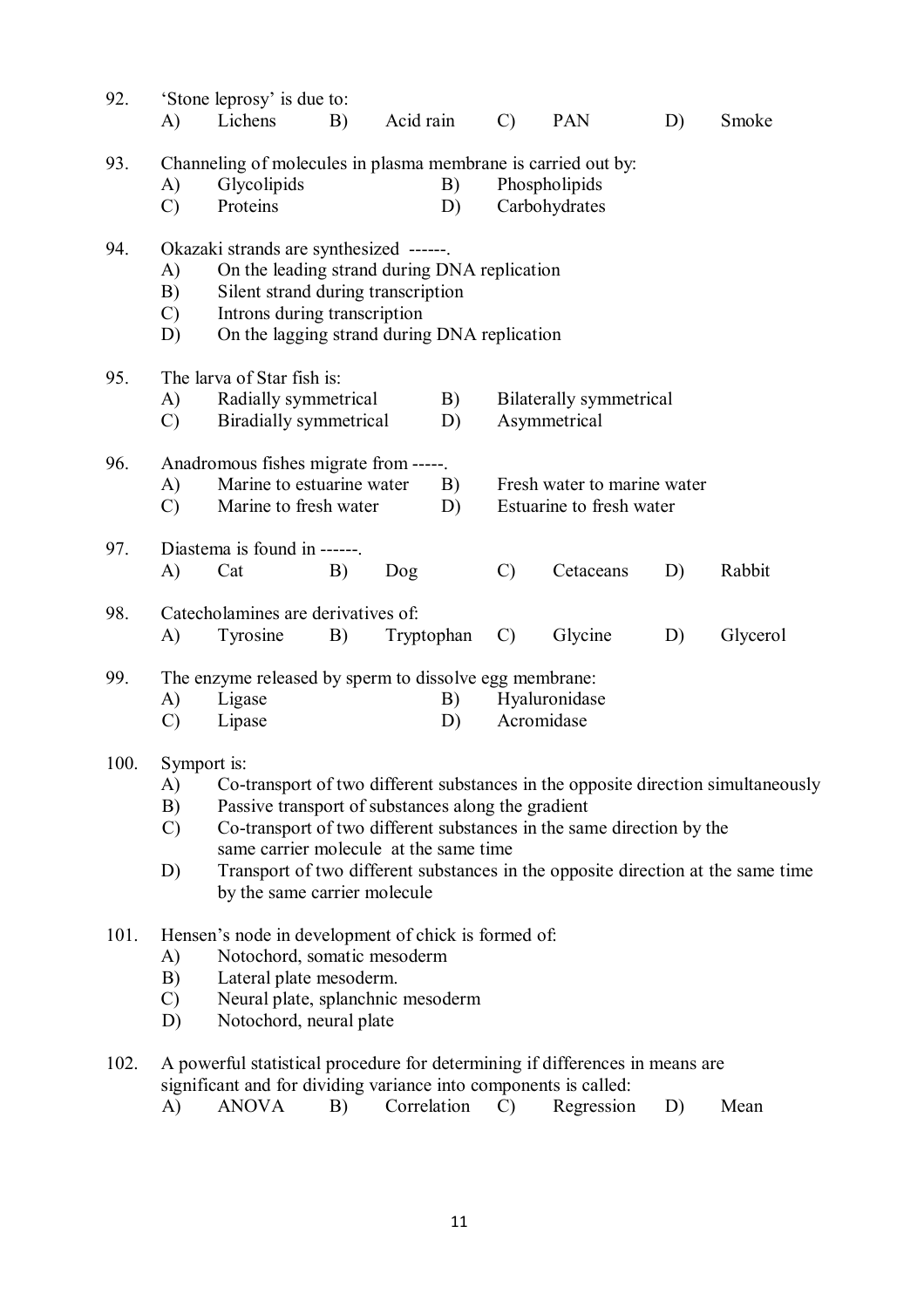| 92.  | A)                              | 'Stone leprosy' is due to:<br>Lichens                                                                                                                                                                                                                                                                                                                                                         | B)                                                                                                          | Acid rain |               | $\mathcal{C}$                                           | PAN       | D)       | Smoke  |  |
|------|---------------------------------|-----------------------------------------------------------------------------------------------------------------------------------------------------------------------------------------------------------------------------------------------------------------------------------------------------------------------------------------------------------------------------------------------|-------------------------------------------------------------------------------------------------------------|-----------|---------------|---------------------------------------------------------|-----------|----------|--------|--|
| 93.  | A)<br>$\mathcal{C}$             | Glycolipids<br>Proteins                                                                                                                                                                                                                                                                                                                                                                       | Channeling of molecules in plasma membrane is carried out by:<br>B)<br>Phospholipids<br>Carbohydrates<br>D) |           |               |                                                         |           |          |        |  |
| 94.  | A)<br>B)<br>$\mathcal{C}$<br>D) | Okazaki strands are synthesized ------.<br>On the leading strand during DNA replication<br>Silent strand during transcription<br>Introns during transcription<br>On the lagging strand during DNA replication                                                                                                                                                                                 |                                                                                                             |           |               |                                                         |           |          |        |  |
| 95.  | A)<br>$\mathcal{C}$             | The larva of Star fish is:<br>Radially symmetrical<br><b>Biradially</b> symmetrical                                                                                                                                                                                                                                                                                                           |                                                                                                             |           | B)<br>D)      | <b>Bilaterally</b> symmetrical<br>Asymmetrical          |           |          |        |  |
| 96.  | A)<br>$\mathcal{C}$             | Anadromous fishes migrate from -----.<br>Marine to estuarine water<br>Marine to fresh water                                                                                                                                                                                                                                                                                                   |                                                                                                             |           | B)<br>D)      | Fresh water to marine water<br>Estuarine to fresh water |           |          |        |  |
| 97.  | A)                              | Diastema is found in ------.<br>Cat                                                                                                                                                                                                                                                                                                                                                           | B)                                                                                                          | Dog       |               | $\mathcal{C}$                                           | Cetaceans | D)       | Rabbit |  |
| 98.  | A)                              | Catecholamines are derivatives of:<br>Tyrosine<br>B)<br>Tryptophan                                                                                                                                                                                                                                                                                                                            |                                                                                                             |           | $\mathcal{C}$ | Glycine                                                 | D)        | Glycerol |        |  |
| 99.  | A)<br>$\mathcal{C}$             | The enzyme released by sperm to dissolve egg membrane:<br>Hyaluronidase<br>Ligase<br>B)<br>Acromidase<br>Lipase<br>D)                                                                                                                                                                                                                                                                         |                                                                                                             |           |               |                                                         |           |          |        |  |
| 100. | A)<br>B)<br>$\mathcal{C}$<br>D) | Symport is:<br>Co-transport of two different substances in the opposite direction simultaneously<br>Passive transport of substances along the gradient<br>Co-transport of two different substances in the same direction by the<br>same carrier molecule at the same time<br>Transport of two different substances in the opposite direction at the same time<br>by the same carrier molecule |                                                                                                             |           |               |                                                         |           |          |        |  |
| 101. | A)<br>B)<br>$\mathcal{C}$<br>D) | Hensen's node in development of chick is formed of:<br>Notochord, somatic mesoderm<br>Lateral plate mesoderm.<br>Neural plate, splanchnic mesoderm<br>Notochord, neural plate                                                                                                                                                                                                                 |                                                                                                             |           |               |                                                         |           |          |        |  |
| 102. |                                 | A powerful statistical procedure for determining if differences in means are<br>significant and for dividing variance into components is called:                                                                                                                                                                                                                                              |                                                                                                             |           |               |                                                         |           |          |        |  |

A) ANOVA B) Correlation C) Regression D) Mean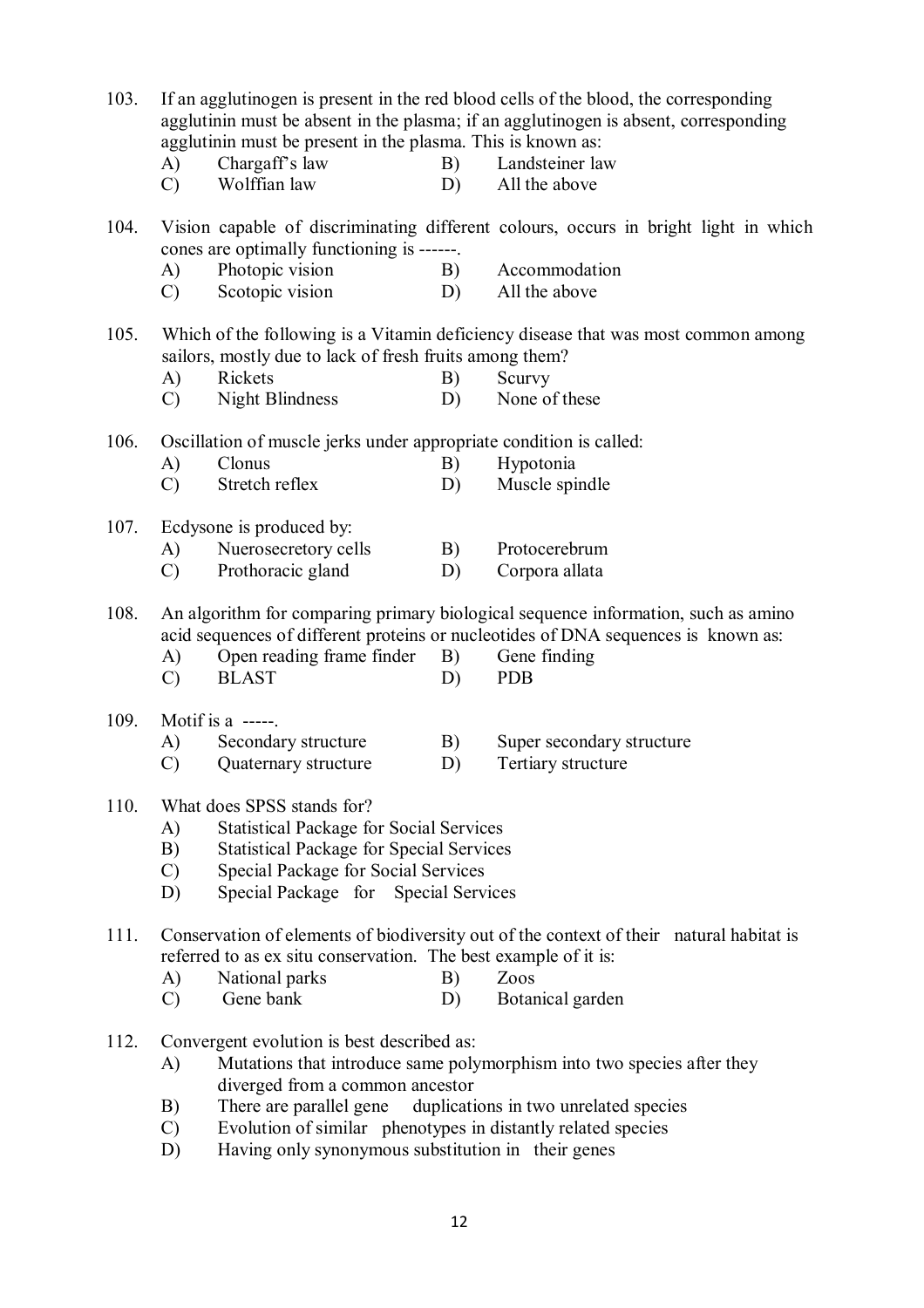103. If an agglutinogen is present in the red blood cells of the blood, the corresponding agglutinin must be absent in the plasma; if an agglutinogen is absent, corresponding agglutinin must be present in the plasma. This is known as: A) Chargaff's law B) Landsteiner law C) Wolffian law D) All the above 104. Vision capable of discriminating different colours, occurs in bright light in which cones are optimally functioning is ------. A) Photopic vision B) Accommodation C) Scotopic vision D) All the above 105. Which of the following is a Vitamin deficiency disease that was most common among sailors, mostly due to lack of fresh fruits among them? A) Rickets B) Scurvy C) Night Blindness D) None of these 106. Oscillation of muscle jerks under appropriate condition is called: A) Clonus B) Hypotonia C) Stretch reflex D) Muscle spindle 107. Ecdysone is produced by: A) Nuerosecretory cells B) Protocerebrum C) Prothoracic gland D) Corpora allata 108. An algorithm for comparing primary biological sequence information, such as amino acid sequences of different proteins or nucleotides of DNA sequences is known as: A) Open reading frame finder B) Gene finding C) BLAST D) PDB 109. Motif is a -----. A) Secondary structure B) Super secondary structure C) Quaternary structure D) Tertiary structure 110. What does SPSS stands for? A) Statistical Package for Social Services B) Statistical Package for Special Services C) Special Package for Social Services D) Special Package for Special Services 111. Conservation of elements of biodiversity out of the context of their natural habitat is referred to as ex situ conservation. The best example of it is: A) National parks B) Zoos C) Gene bank D) Botanical garden 112. Convergent evolution is best described as: A) Mutations that introduce same polymorphism into two species after they diverged from a common ancestor B) There are parallel gene duplications in two unrelated species C) Evolution of similar phenotypes in distantly related species

D) Having only synonymous substitution in their genes